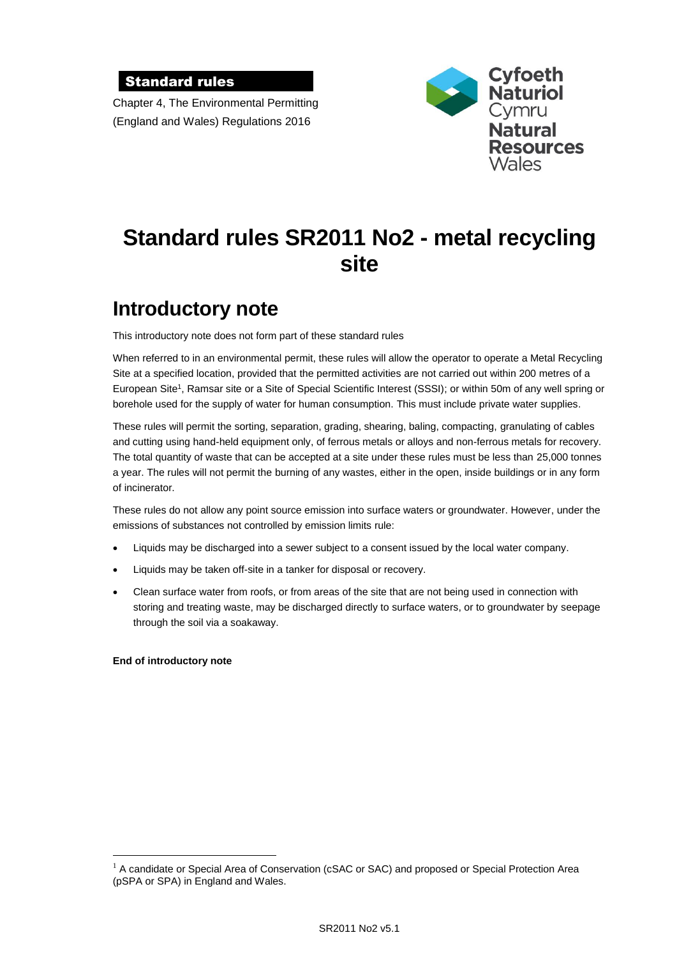## Standard rules

Chapter 4, The Environmental Permitting (England and Wales) Regulations 2016



# **Standard rules SR2011 No2 - metal recycling site**

# **Introductory note**

This introductory note does not form part of these standard rules

When referred to in an environmental permit, these rules will allow the operator to operate a Metal Recycling Site at a specified location, provided that the permitted activities are not carried out within 200 metres of a European Site<sup>1</sup>, Ramsar site or a Site of Special Scientific Interest (SSSI); or within 50m of any well spring or borehole used for the supply of water for human consumption. This must include private water supplies.

These rules will permit the sorting, separation, grading, shearing, baling, compacting, granulating of cables and cutting using hand-held equipment only, of ferrous metals or alloys and non-ferrous metals for recovery. The total quantity of waste that can be accepted at a site under these rules must be less than 25,000 tonnes a year. The rules will not permit the burning of any wastes, either in the open, inside buildings or in any form of incinerator.

These rules do not allow any point source emission into surface waters or groundwater. However, under the emissions of substances not controlled by emission limits rule:

- Liquids may be discharged into a sewer subject to a consent issued by the local water company.
- Liquids may be taken off-site in a tanker for disposal or recovery.
- Clean surface water from roofs, or from areas of the site that are not being used in connection with storing and treating waste, may be discharged directly to surface waters, or to groundwater by seepage through the soil via a soakaway.

#### **End of introductory note**

 $\overline{a}$ 

 $1$  A candidate or Special Area of Conservation (cSAC or SAC) and proposed or Special Protection Area (pSPA or SPA) in England and Wales.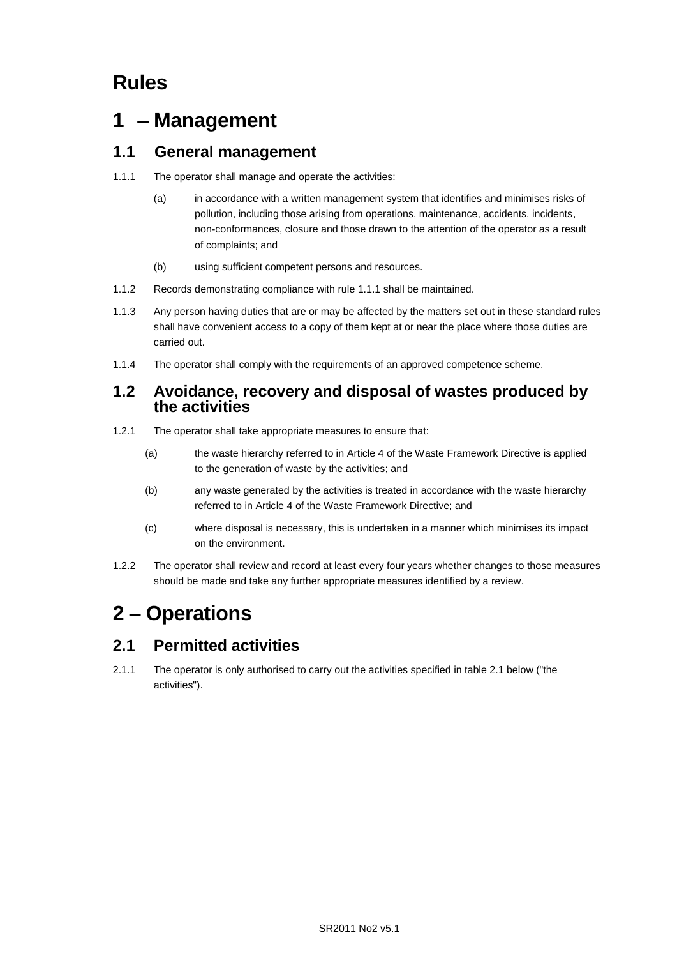# **Rules**

# **1 – Management**

# **1.1 General management**

- 1.1.1 The operator shall manage and operate the activities:
	- (a) in accordance with a written management system that identifies and minimises risks of pollution, including those arising from operations, maintenance, accidents, incidents, non-conformances, closure and those drawn to the attention of the operator as a result of complaints; and
	- (b) using sufficient competent persons and resources.
- 1.1.2 Records demonstrating compliance with rule 1.1.1 shall be maintained.
- 1.1.3 Any person having duties that are or may be affected by the matters set out in these standard rules shall have convenient access to a copy of them kept at or near the place where those duties are carried out.
- 1.1.4 The operator shall comply with the requirements of an approved competence scheme.

#### **1.2 Avoidance, recovery and disposal of wastes produced by the activities**

- 1.2.1 The operator shall take appropriate measures to ensure that:
	- (a) the waste hierarchy referred to in Article 4 of the Waste Framework Directive is applied to the generation of waste by the activities; and
	- (b) any waste generated by the activities is treated in accordance with the waste hierarchy referred to in Article 4 of the Waste Framework Directive; and
	- (c) where disposal is necessary, this is undertaken in a manner which minimises its impact on the environment.
- 1.2.2 The operator shall review and record at least every four years whether changes to those measures should be made and take any further appropriate measures identified by a review.

# **2 – Operations**

# **2.1 Permitted activities**

2.1.1 The operator is only authorised to carry out the activities specified in table 2.1 below ("the activities").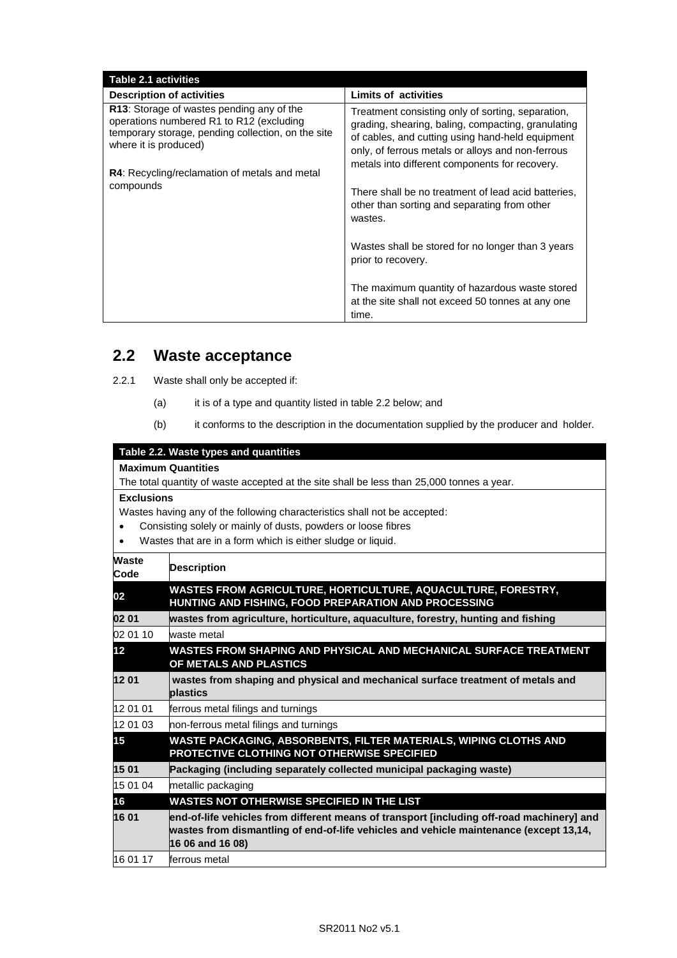| <b>Table 2.1 activities</b>                                                                                                                                          |                                                                                                                                                                                                                                                                    |  |  |
|----------------------------------------------------------------------------------------------------------------------------------------------------------------------|--------------------------------------------------------------------------------------------------------------------------------------------------------------------------------------------------------------------------------------------------------------------|--|--|
| <b>Description of activities</b>                                                                                                                                     | <b>Limits of activities</b>                                                                                                                                                                                                                                        |  |  |
| R13: Storage of wastes pending any of the<br>operations numbered R1 to R12 (excluding<br>temporary storage, pending collection, on the site<br>where it is produced) | Treatment consisting only of sorting, separation,<br>grading, shearing, baling, compacting, granulating<br>of cables, and cutting using hand-held equipment<br>only, of ferrous metals or alloys and non-ferrous<br>metals into different components for recovery. |  |  |
| <b>R4:</b> Recycling/reclamation of metals and metal                                                                                                                 |                                                                                                                                                                                                                                                                    |  |  |
| compounds                                                                                                                                                            | There shall be no treatment of lead acid batteries,<br>other than sorting and separating from other<br>wastes.                                                                                                                                                     |  |  |
|                                                                                                                                                                      | Wastes shall be stored for no longer than 3 years<br>prior to recovery.                                                                                                                                                                                            |  |  |
|                                                                                                                                                                      | The maximum quantity of hazardous waste stored<br>at the site shall not exceed 50 tonnes at any one<br>time.                                                                                                                                                       |  |  |

# **2.2 Waste acceptance**

- 2.2.1 Waste shall only be accepted if:
	- (a) it is of a type and quantity listed in table 2.2 below; and
	- (b) it conforms to the description in the documentation supplied by the producer and holder.

| Table 2.2. Waste types and quantities                                                     |                                                                                                                                                                                                         |
|-------------------------------------------------------------------------------------------|---------------------------------------------------------------------------------------------------------------------------------------------------------------------------------------------------------|
| <b>Maximum Quantities</b>                                                                 |                                                                                                                                                                                                         |
| The total quantity of waste accepted at the site shall be less than 25,000 tonnes a year. |                                                                                                                                                                                                         |
| <b>Exclusions</b>                                                                         |                                                                                                                                                                                                         |
| Wastes having any of the following characteristics shall not be accepted:                 |                                                                                                                                                                                                         |
| Consisting solely or mainly of dusts, powders or loose fibres<br>$\bullet$                |                                                                                                                                                                                                         |
| Wastes that are in a form which is either sludge or liquid.<br>$\bullet$                  |                                                                                                                                                                                                         |
| <b>Waste</b><br>Code                                                                      | <b>Description</b>                                                                                                                                                                                      |
| 02                                                                                        | WASTES FROM AGRICULTURE, HORTICULTURE, AQUACULTURE, FORESTRY,<br>HUNTING AND FISHING, FOOD PREPARATION AND PROCESSING                                                                                   |
| 02 01                                                                                     | wastes from agriculture, horticulture, aquaculture, forestry, hunting and fishing                                                                                                                       |
| 02 01 10                                                                                  | waste metal                                                                                                                                                                                             |
| 12                                                                                        | WASTES FROM SHAPING AND PHYSICAL AND MECHANICAL SURFACE TREATMENT<br>OF METALS AND PLASTICS                                                                                                             |
| 1201                                                                                      | wastes from shaping and physical and mechanical surface treatment of metals and<br><b>plastics</b>                                                                                                      |
| 12 01 01                                                                                  | ferrous metal filings and turnings                                                                                                                                                                      |
| 12 01 03                                                                                  | non-ferrous metal filings and turnings                                                                                                                                                                  |
| 15                                                                                        | WASTE PACKAGING, ABSORBENTS, FILTER MATERIALS, WIPING CLOTHS AND<br>PROTECTIVE CLOTHING NOT OTHERWISE SPECIFIED                                                                                         |
| 1501                                                                                      | Packaging (including separately collected municipal packaging waste)                                                                                                                                    |
| 15 01 04                                                                                  | metallic packaging                                                                                                                                                                                      |
| 16                                                                                        | WASTES NOT OTHERWISE SPECIFIED IN THE LIST                                                                                                                                                              |
| 1601                                                                                      | end-of-life vehicles from different means of transport [including off-road machinery] and<br>wastes from dismantling of end-of-life vehicles and vehicle maintenance (except 13,14,<br>16 06 and 16 08) |
| 16 01 17                                                                                  | ferrous metal                                                                                                                                                                                           |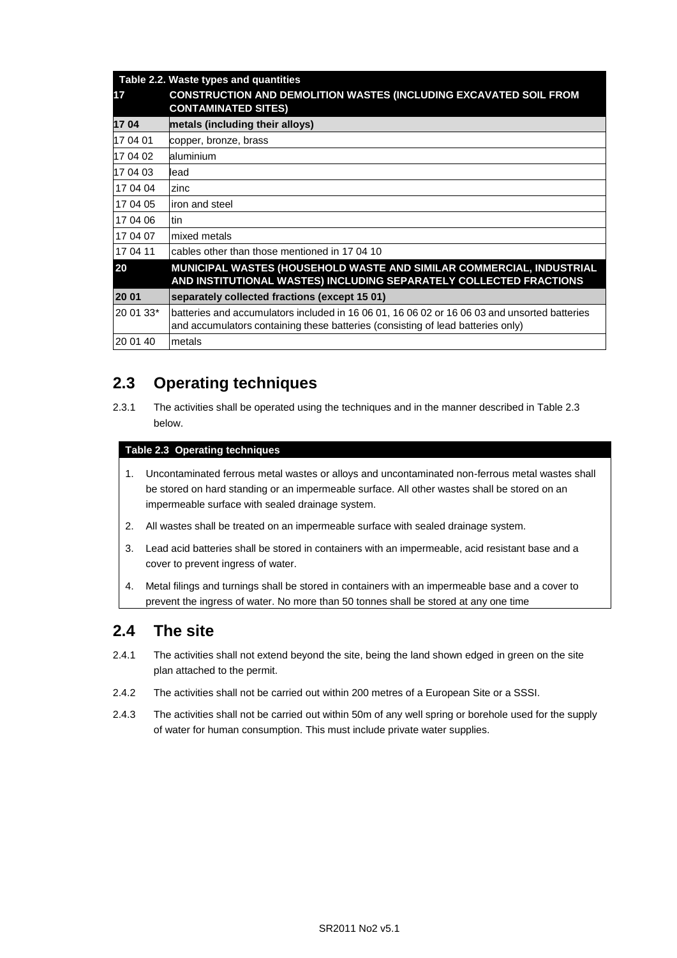|           | Table 2.2. Waste types and quantities                                                                                                                                           |
|-----------|---------------------------------------------------------------------------------------------------------------------------------------------------------------------------------|
| 17        | <b>CONSTRUCTION AND DEMOLITION WASTES (INCLUDING EXCAVATED SOIL FROM</b><br><b>CONTAMINATED SITES)</b>                                                                          |
| 1704      | metals (including their alloys)                                                                                                                                                 |
| 17 04 01  | copper, bronze, brass                                                                                                                                                           |
| 17 04 02  | aluminium                                                                                                                                                                       |
| 17 04 03  | lead                                                                                                                                                                            |
| 17 04 04  | zinc                                                                                                                                                                            |
| 17 04 05  | iron and steel                                                                                                                                                                  |
| 17 04 06  | tin                                                                                                                                                                             |
| 17 04 07  | mixed metals                                                                                                                                                                    |
| 17 04 11  | cables other than those mentioned in 17 04 10                                                                                                                                   |
| 20        | MUNICIPAL WASTES (HOUSEHOLD WASTE AND SIMILAR COMMERCIAL, INDUSTRIAL<br>AND INSTITUTIONAL WASTES) INCLUDING SEPARATELY COLLECTED FRACTIONS                                      |
| 20 01     | separately collected fractions (except 15 01)                                                                                                                                   |
| 20 01 33* | batteries and accumulators included in 16 06 01, 16 06 02 or 16 06 03 and unsorted batteries<br>and accumulators containing these batteries (consisting of lead batteries only) |
| 20 01 40  | metals                                                                                                                                                                          |

# **2.3 Operating techniques**

2.3.1 The activities shall be operated using the techniques and in the manner described in Table 2.3 below.

#### **Table 2.3 Operating techniques**

- 1. Uncontaminated ferrous metal wastes or alloys and uncontaminated non-ferrous metal wastes shall be stored on hard standing or an impermeable surface. All other wastes shall be stored on an impermeable surface with sealed drainage system.
- 2. All wastes shall be treated on an impermeable surface with sealed drainage system.
- 3. Lead acid batteries shall be stored in containers with an impermeable, acid resistant base and a cover to prevent ingress of water.
- 4. Metal filings and turnings shall be stored in containers with an impermeable base and a cover to prevent the ingress of water. No more than 50 tonnes shall be stored at any one time

#### **2.4 The site**

- 2.4.1 The activities shall not extend beyond the site, being the land shown edged in green on the site plan attached to the permit.
- 2.4.2 The activities shall not be carried out within 200 metres of a European Site or a SSSI.
- 2.4.3 The activities shall not be carried out within 50m of any well spring or borehole used for the supply of water for human consumption. This must include private water supplies.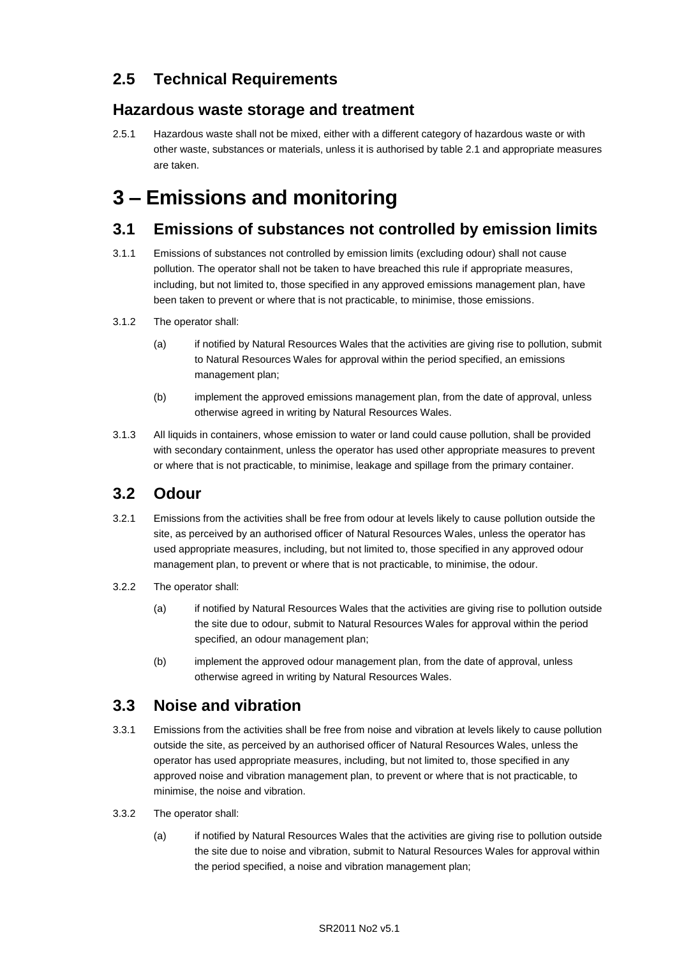# **2.5 Technical Requirements**

### **Hazardous waste storage and treatment**

2.5.1 Hazardous waste shall not be mixed, either with a different category of hazardous waste or with other waste, substances or materials, unless it is authorised by table 2.1 and appropriate measures are taken.

# **3 – Emissions and monitoring**

### **3.1 Emissions of substances not controlled by emission limits**

- 3.1.1 Emissions of substances not controlled by emission limits (excluding odour) shall not cause pollution. The operator shall not be taken to have breached this rule if appropriate measures, including, but not limited to, those specified in any approved emissions management plan, have been taken to prevent or where that is not practicable, to minimise, those emissions.
- 3.1.2 The operator shall:
	- (a) if notified by Natural Resources Wales that the activities are giving rise to pollution, submit to Natural Resources Wales for approval within the period specified, an emissions management plan;
	- (b) implement the approved emissions management plan, from the date of approval, unless otherwise agreed in writing by Natural Resources Wales.
- 3.1.3 All liquids in containers, whose emission to water or land could cause pollution, shall be provided with secondary containment, unless the operator has used other appropriate measures to prevent or where that is not practicable, to minimise, leakage and spillage from the primary container.

## **3.2 Odour**

- 3.2.1 Emissions from the activities shall be free from odour at levels likely to cause pollution outside the site, as perceived by an authorised officer of Natural Resources Wales, unless the operator has used appropriate measures, including, but not limited to, those specified in any approved odour management plan, to prevent or where that is not practicable, to minimise, the odour.
- 3.2.2 The operator shall:
	- (a) if notified by Natural Resources Wales that the activities are giving rise to pollution outside the site due to odour, submit to Natural Resources Wales for approval within the period specified, an odour management plan;
	- (b) implement the approved odour management plan, from the date of approval, unless otherwise agreed in writing by Natural Resources Wales.

## **3.3 Noise and vibration**

- 3.3.1 Emissions from the activities shall be free from noise and vibration at levels likely to cause pollution outside the site, as perceived by an authorised officer of Natural Resources Wales, unless the operator has used appropriate measures, including, but not limited to, those specified in any approved noise and vibration management plan, to prevent or where that is not practicable, to minimise, the noise and vibration.
- 3.3.2 The operator shall:
	- (a) if notified by Natural Resources Wales that the activities are giving rise to pollution outside the site due to noise and vibration, submit to Natural Resources Wales for approval within the period specified, a noise and vibration management plan;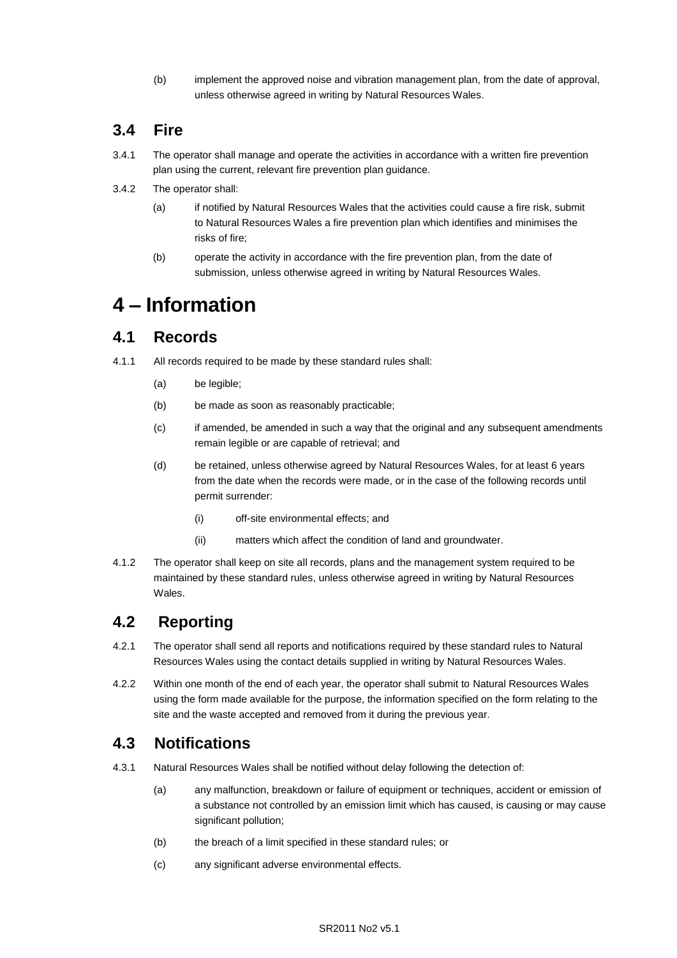(b) implement the approved noise and vibration management plan, from the date of approval, unless otherwise agreed in writing by Natural Resources Wales.

## **3.4 Fire**

- 3.4.1 The operator shall manage and operate the activities in accordance with a written fire prevention plan using the current, relevant fire prevention plan guidance.
- 3.4.2 The operator shall:
	- (a) if notified by Natural Resources Wales that the activities could cause a fire risk, submit to Natural Resources Wales a fire prevention plan which identifies and minimises the risks of fire;
	- (b) operate the activity in accordance with the fire prevention plan, from the date of submission, unless otherwise agreed in writing by Natural Resources Wales.

# **4 – Information**

## **4.1 Records**

- 4.1.1 All records required to be made by these standard rules shall:
	- (a) be legible;
	- (b) be made as soon as reasonably practicable;
	- (c) if amended, be amended in such a way that the original and any subsequent amendments remain legible or are capable of retrieval; and
	- (d) be retained, unless otherwise agreed by Natural Resources Wales, for at least 6 years from the date when the records were made, or in the case of the following records until permit surrender:
		- (i) off-site environmental effects; and
		- (ii) matters which affect the condition of land and groundwater.
- 4.1.2 The operator shall keep on site all records, plans and the management system required to be maintained by these standard rules, unless otherwise agreed in writing by Natural Resources Wales.

## **4.2 Reporting**

- 4.2.1 The operator shall send all reports and notifications required by these standard rules to Natural Resources Wales using the contact details supplied in writing by Natural Resources Wales.
- 4.2.2 Within one month of the end of each year, the operator shall submit to Natural Resources Wales using the form made available for the purpose, the information specified on the form relating to the site and the waste accepted and removed from it during the previous year.

## **4.3 Notifications**

- 4.3.1 Natural Resources Wales shall be notified without delay following the detection of:
	- (a) any malfunction, breakdown or failure of equipment or techniques, accident or emission of a substance not controlled by an emission limit which has caused, is causing or may cause significant pollution;
	- (b) the breach of a limit specified in these standard rules; or
	- (c) any significant adverse environmental effects.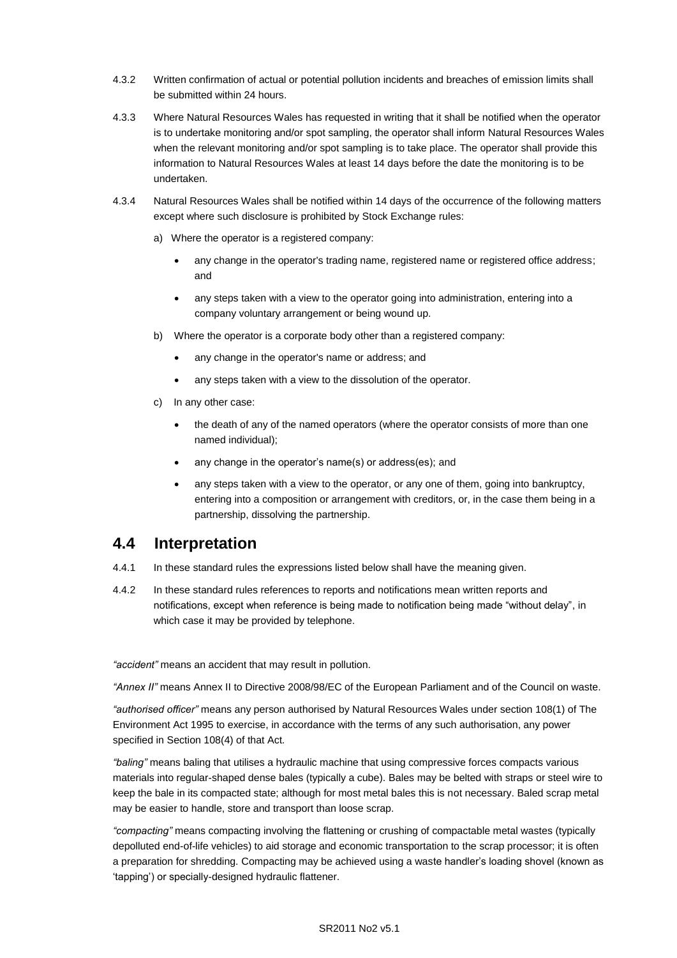- 4.3.2 Written confirmation of actual or potential pollution incidents and breaches of emission limits shall be submitted within 24 hours.
- 4.3.3 Where Natural Resources Wales has requested in writing that it shall be notified when the operator is to undertake monitoring and/or spot sampling, the operator shall inform Natural Resources Wales when the relevant monitoring and/or spot sampling is to take place. The operator shall provide this information to Natural Resources Wales at least 14 days before the date the monitoring is to be undertaken.
- 4.3.4 Natural Resources Wales shall be notified within 14 days of the occurrence of the following matters except where such disclosure is prohibited by Stock Exchange rules:
	- a) Where the operator is a registered company:
		- any change in the operator's trading name, registered name or registered office address; and
		- any steps taken with a view to the operator going into administration, entering into a company voluntary arrangement or being wound up.
	- b) Where the operator is a corporate body other than a registered company:
		- any change in the operator's name or address; and
		- any steps taken with a view to the dissolution of the operator.
	- c) In any other case:
		- the death of any of the named operators (where the operator consists of more than one named individual);
		- any change in the operator's name(s) or address(es); and
		- any steps taken with a view to the operator, or any one of them, going into bankruptcy, entering into a composition or arrangement with creditors, or, in the case them being in a partnership, dissolving the partnership.

## **4.4 Interpretation**

- 4.4.1 In these standard rules the expressions listed below shall have the meaning given.
- 4.4.2 In these standard rules references to reports and notifications mean written reports and notifications, except when reference is being made to notification being made "without delay", in which case it may be provided by telephone.

*"accident"* means an accident that may result in pollution.

*"Annex II"* means Annex II to Directive 2008/98/EC of the European Parliament and of the Council on waste.

*"authorised officer"* means any person authorised by Natural Resources Wales under section 108(1) of The Environment Act 1995 to exercise, in accordance with the terms of any such authorisation, any power specified in Section 108(4) of that Act*.*

*"baling"* means baling that utilises a hydraulic machine that using compressive forces compacts various materials into regular-shaped dense bales (typically a cube). Bales may be belted with straps or steel wire to keep the bale in its compacted state; although for most metal bales this is not necessary. Baled scrap metal may be easier to handle, store and transport than loose scrap.

*"compacting"* means compacting involving the flattening or crushing of compactable metal wastes (typically depolluted end-of-life vehicles) to aid storage and economic transportation to the scrap processor; it is often a preparation for shredding. Compacting may be achieved using a waste handler's loading shovel (known as 'tapping') or specially-designed hydraulic flattener.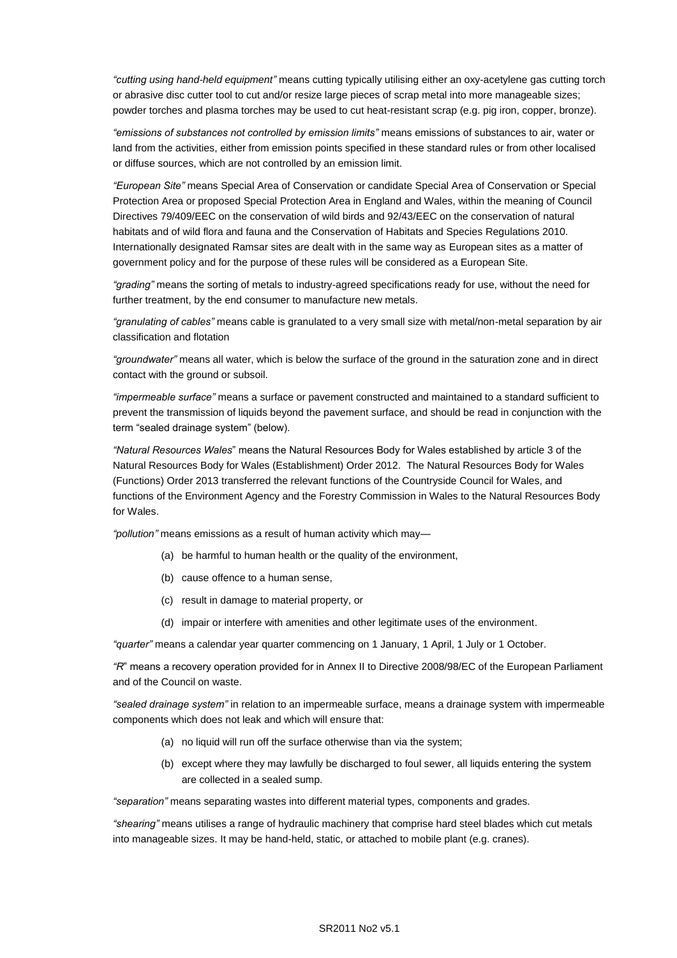*"cutting using hand-held equipment"* means cutting typically utilising either an oxy-acetylene gas cutting torch or abrasive disc cutter tool to cut and/or resize large pieces of scrap metal into more manageable sizes; powder torches and plasma torches may be used to cut heat-resistant scrap (e.g. pig iron, copper, bronze).

*"emissions of substances not controlled by emission limits"* means emissions of substances to air, water or land from the activities, either from emission points specified in these standard rules or from other localised or diffuse sources, which are not controlled by an emission limit.

*"European Site"* means Special Area of Conservation or candidate Special Area of Conservation or Special Protection Area or proposed Special Protection Area in England and Wales, within the meaning of Council Directives 79/409/EEC on the conservation of wild birds and 92/43/EEC on the conservation of natural habitats and of wild flora and fauna and the Conservation of Habitats and Species Regulations 2010. Internationally designated Ramsar sites are dealt with in the same way as European sites as a matter of government policy and for the purpose of these rules will be considered as a European Site.

*"grading"* means the sorting of metals to industry-agreed specifications ready for use, without the need for further treatment, by the end consumer to manufacture new metals.

*"granulating of cables"* means cable is granulated to a very small size with metal/non-metal separation by air classification and flotation

*"groundwater"* means all water, which is below the surface of the ground in the saturation zone and in direct contact with the ground or subsoil.

*"impermeable surface"* means a surface or pavement constructed and maintained to a standard sufficient to prevent the transmission of liquids beyond the pavement surface, and should be read in conjunction with the term "sealed drainage system" (below).

*"Natural Resources Wales*" means the Natural Resources Body for Wales established by article 3 of the Natural Resources Body for Wales (Establishment) Order 2012. The Natural Resources Body for Wales (Functions) Order 2013 transferred the relevant functions of the Countryside Council for Wales, and functions of the Environment Agency and the Forestry Commission in Wales to the Natural Resources Body for Wales.

*"pollution"* means emissions as a result of human activity which may—

- (a) be harmful to human health or the quality of the environment,
- (b) cause offence to a human sense,
- (c) result in damage to material property, or
- (d) impair or interfere with amenities and other legitimate uses of the environment.

*"quarter"* means a calendar year quarter commencing on 1 January, 1 April, 1 July or 1 October.

*"R*" means a recovery operation provided for in Annex II to Directive 2008/98/EC of the European Parliament and of the Council on waste.

*"sealed drainage system"* in relation to an impermeable surface, means a drainage system with impermeable components which does not leak and which will ensure that:

- (a) no liquid will run off the surface otherwise than via the system;
- (b) except where they may lawfully be discharged to foul sewer, all liquids entering the system are collected in a sealed sump.

*"separation"* means separating wastes into different material types, components and grades.

*"shearing"* means utilises a range of hydraulic machinery that comprise hard steel blades which cut metals into manageable sizes. It may be hand-held, static, or attached to mobile plant (e.g. cranes).